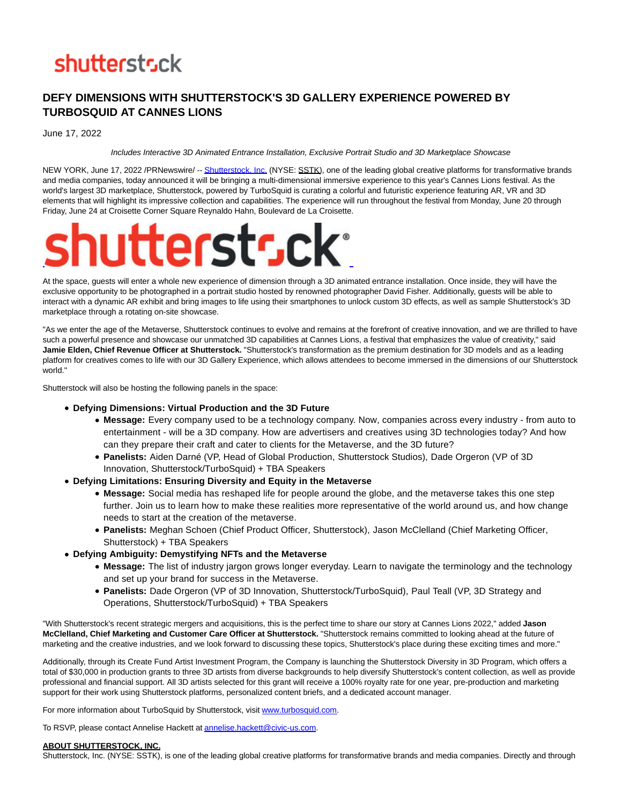# **shutterstsck**

## **DEFY DIMENSIONS WITH SHUTTERSTOCK'S 3D GALLERY EXPERIENCE POWERED BY TURBOSQUID AT CANNES LIONS**

June 17, 2022

#### Includes Interactive 3D Animated Entrance Installation, Exclusive Portrait Studio and 3D Marketplace Showcase

NEW YORK, June 17, 2022 /PRNewswire/ -[- Shutterstock, Inc. \(](https://c212.net/c/link/?t=0&l=en&o=3570305-1&h=711923376&u=https%3A%2F%2Fc212.net%2Fc%2Flink%2F%3Ft%3D0%26l%3Den%26o%3D3550961-1%26h%3D950098259%26u%3Dhttps%253A%252F%252Fwww.shutterstock.com%252F%26a%3DShutterstock%252C%2BInc.&a=Shutterstock%2C+Inc.)NYSE: SSTK), one of the leading global creative platforms for transformative brands and media companies, today announced it will be bringing a multi-dimensional immersive experience to this year's Cannes Lions festival. As the world's largest 3D marketplace, Shutterstock, powered by TurboSquid is curating a colorful and futuristic experience featuring AR, VR and 3D elements that will highlight its impressive collection and capabilities. The experience will run throughout the festival from Monday, June 20 through Friday, June 24 at Croisette Corner Square Reynaldo Hahn, Boulevard de La Croisette.



At the space, guests will enter a whole new experience of dimension through a 3D animated entrance installation. Once inside, they will have the exclusive opportunity to be photographed in a portrait studio hosted by renowned photographer David Fisher. Additionally, guests will be able to interact with a dynamic AR exhibit and bring images to life using their smartphones to unlock custom 3D effects, as well as sample Shutterstock's 3D marketplace through a rotating on-site showcase.

"As we enter the age of the Metaverse, Shutterstock continues to evolve and remains at the forefront of creative innovation, and we are thrilled to have such a powerful presence and showcase our unmatched 3D capabilities at Cannes Lions, a festival that emphasizes the value of creativity," said **Jamie Elden, Chief Revenue Officer at Shutterstock.** "Shutterstock's transformation as the premium destination for 3D models and as a leading platform for creatives comes to life with our 3D Gallery Experience, which allows attendees to become immersed in the dimensions of our Shutterstock world."

Shutterstock will also be hosting the following panels in the space:

- **Defying Dimensions: Virtual Production and the 3D Future**
	- **Message:** Every company used to be a technology company. Now, companies across every industry from auto to entertainment - will be a 3D company. How are advertisers and creatives using 3D technologies today? And how can they prepare their craft and cater to clients for the Metaverse, and the 3D future?
	- **Panelists:** Aiden Darné (VP, Head of Global Production, Shutterstock Studios), Dade Orgeron (VP of 3D Innovation, Shutterstock/TurboSquid) + TBA Speakers
- **Defying Limitations: Ensuring Diversity and Equity in the Metaverse**
	- **Message:** Social media has reshaped life for people around the globe, and the metaverse takes this one step further. Join us to learn how to make these realities more representative of the world around us, and how change needs to start at the creation of the metaverse.
	- **Panelists:** Meghan Schoen (Chief Product Officer, Shutterstock), Jason McClelland (Chief Marketing Officer, Shutterstock) + TBA Speakers
- **Defying Ambiguity: Demystifying NFTs and the Metaverse**
	- **Message:** The list of industry jargon grows longer everyday. Learn to navigate the terminology and the technology and set up your brand for success in the Metaverse.
	- **Panelists:** Dade Orgeron (VP of 3D Innovation, Shutterstock/TurboSquid), Paul Teall (VP, 3D Strategy and Operations, Shutterstock/TurboSquid) + TBA Speakers

"With Shutterstock's recent strategic mergers and acquisitions, this is the perfect time to share our story at Cannes Lions 2022," added **Jason McClelland, Chief Marketing and Customer Care Officer at Shutterstock.** "Shutterstock remains committed to looking ahead at the future of marketing and the creative industries, and we look forward to discussing these topics, Shutterstock's place during these exciting times and more."

Additionally, through its Create Fund Artist Investment Program, the Company is launching the Shutterstock Diversity in 3D Program, which offers a total of \$30,000 in production grants to three 3D artists from diverse backgrounds to help diversify Shutterstock's content collection, as well as provide professional and financial support. All 3D artists selected for this grant will receive a 100% royalty rate for one year, pre-production and marketing support for their work using Shutterstock platforms, personalized content briefs, and a dedicated account manager.

For more information about TurboSquid by Shutterstock, visit [www.turbosquid.com.](https://c212.net/c/link/?t=0&l=en&o=3570305-1&h=3485436369&u=http%3A%2F%2Fwww.turbosquid.com%2F&a=www.turbosquid.com)

To RSVP, please contact Annelise Hackett a[t annelise.hackett@civic-us.com.](mailto:annelise.hackett@civic-us.com)

### **ABOUT SHUTTERSTOCK, INC.**

Shutterstock, Inc. (NYSE: SSTK), is one of the leading global creative platforms for transformative brands and media companies. Directly and through